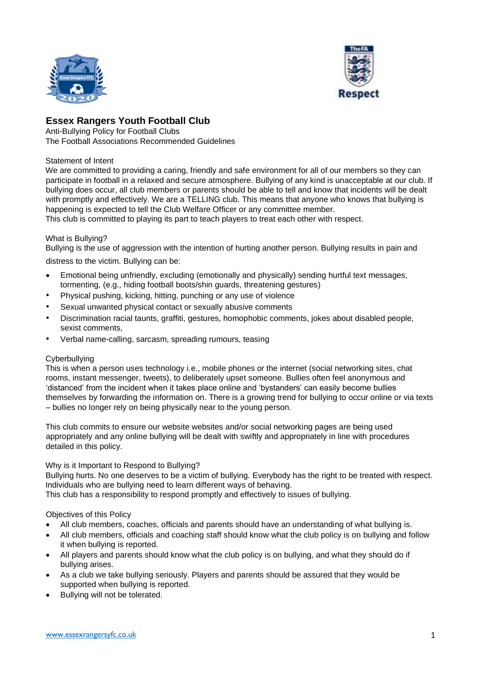



# **Essex Rangers Youth Football Club**

Anti-Bullying Policy for Football Clubs The Football Associations Recommended Guidelines

# Statement of Intent

We are committed to providing a caring, friendly and safe environment for all of our members so they can participate in football in a relaxed and secure atmosphere. Bullying of any kind is unacceptable at our club. If bullying does occur, all club members or parents should be able to tell and know that incidents will be dealt with promptly and effectively. We are a TELLING club. This means that anyone who knows that bullying is happening is expected to tell the Club Welfare Officer or any committee member. This club is committed to playing its part to teach players to treat each other with respect.

# What is Bullying?

Bullying is the use of aggression with the intention of hurting another person. Bullying results in pain and

distress to the victim. Bullying can be:

- Emotional being unfriendly, excluding (emotionally and physically) sending hurtful text messages, tormenting, (e.g., hiding football boots/shin guards, threatening gestures)
- Physical pushing, kicking, hitting, punching or any use of violence
- Sexual unwanted physical contact or sexually abusive comments
- Discrimination racial taunts, graffiti, gestures, homophobic comments, jokes about disabled people, sexist comments,
- Verbal name-calling, sarcasm, spreading rumours, teasing

### Cyberbullying

This is when a person uses technology i.e., mobile phones or the internet (social networking sites, chat rooms, instant messenger, tweets), to deliberately upset someone. Bullies often feel anonymous and 'distanced' from the incident when it takes place online and 'bystanders' can easily become bullies themselves by forwarding the information on. There is a growing trend for bullying to occur online or via texts – bullies no longer rely on being physically near to the young person.

This club commits to ensure our website websites and/or social networking pages are being used appropriately and any online bullying will be dealt with swiftly and appropriately in line with procedures detailed in this policy.

### Why is it Important to Respond to Bullying?

Bullying hurts. No one deserves to be a victim of bullying. Everybody has the right to be treated with respect. Individuals who are bullying need to learn different ways of behaving.

This club has a responsibility to respond promptly and effectively to issues of bullying.

### Objectives of this Policy

- All club members, coaches, officials and parents should have an understanding of what bullying is.
- All club members, officials and coaching staff should know what the club policy is on bullying and follow it when bullying is reported.
- All players and parents should know what the club policy is on bullying, and what they should do if bullying arises.
- As a club we take bullying seriously. Players and parents should be assured that they would be supported when bullying is reported.
- Bullying will not be tolerated.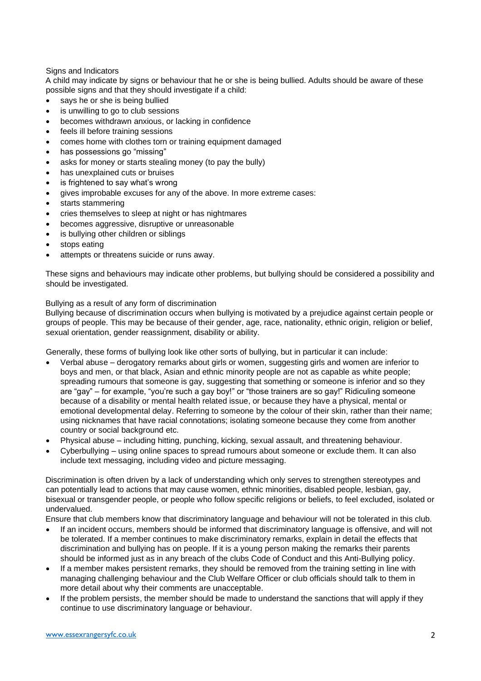### Signs and Indicators

A child may indicate by signs or behaviour that he or she is being bullied. Adults should be aware of these possible signs and that they should investigate if a child:

- says he or she is being bullied
- is unwilling to go to club sessions
- becomes withdrawn anxious, or lacking in confidence
- feels ill before training sessions
- comes home with clothes torn or training equipment damaged
- has possessions go "missing"
- asks for money or starts stealing money (to pay the bully)
- has unexplained cuts or bruises
- is frightened to say what's wrong
- gives improbable excuses for any of the above. In more extreme cases:
- starts stammering
- cries themselves to sleep at night or has nightmares
- becomes aggressive, disruptive or unreasonable
- is bullying other children or siblings
- stops eating
- attempts or threatens suicide or runs away.

These signs and behaviours may indicate other problems, but bullying should be considered a possibility and should be investigated.

#### Bullying as a result of any form of discrimination

Bullying because of discrimination occurs when bullying is motivated by a prejudice against certain people or groups of people. This may be because of their gender, age, race, nationality, ethnic origin, religion or belief, sexual orientation, gender reassignment, disability or ability.

Generally, these forms of bullying look like other sorts of bullying, but in particular it can include:

- Verbal abuse derogatory remarks about girls or women, suggesting girls and women are inferior to boys and men, or that black, Asian and ethnic minority people are not as capable as white people; spreading rumours that someone is gay, suggesting that something or someone is inferior and so they are "gay" – for example, "you're such a gay boy!" or "those trainers are so gay!" Ridiculing someone because of a disability or mental health related issue, or because they have a physical, mental or emotional developmental delay. Referring to someone by the colour of their skin, rather than their name; using nicknames that have racial connotations; isolating someone because they come from another country or social background etc.
- Physical abuse including hitting, punching, kicking, sexual assault, and threatening behaviour.
- Cyberbullying using online spaces to spread rumours about someone or exclude them. It can also include text messaging, including video and picture messaging.

Discrimination is often driven by a lack of understanding which only serves to strengthen stereotypes and can potentially lead to actions that may cause women, ethnic minorities, disabled people, lesbian, gay, bisexual or transgender people, or people who follow specific religions or beliefs, to feel excluded, isolated or undervalued.

Ensure that club members know that discriminatory language and behaviour will not be tolerated in this club.

- If an incident occurs, members should be informed that discriminatory language is offensive, and will not be tolerated. If a member continues to make discriminatory remarks, explain in detail the effects that discrimination and bullying has on people. If it is a young person making the remarks their parents should be informed just as in any breach of the clubs Code of Conduct and this Anti-Bullying policy.
- If a member makes persistent remarks, they should be removed from the training setting in line with managing challenging behaviour and the Club Welfare Officer or club officials should talk to them in more detail about why their comments are unacceptable.
- If the problem persists, the member should be made to understand the sanctions that will apply if they continue to use discriminatory language or behaviour.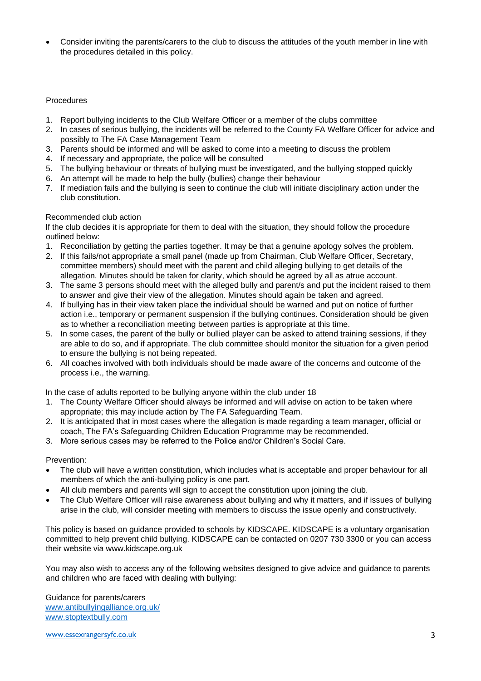• Consider inviting the parents/carers to the club to discuss the attitudes of the youth member in line with the procedures detailed in this policy.

#### Procedures

- 1. Report bullying incidents to the Club Welfare Officer or a member of the clubs committee
- 2. In cases of serious bullying, the incidents will be referred to the County FA Welfare Officer for advice and possibly to The FA Case Management Team
- 3. Parents should be informed and will be asked to come into a meeting to discuss the problem
- 4. If necessary and appropriate, the police will be consulted
- 5. The bullying behaviour or threats of bullying must be investigated, and the bullying stopped quickly
- 6. An attempt will be made to help the bully (bullies) change their behaviour
- 7. If mediation fails and the bullying is seen to continue the club will initiate disciplinary action under the club constitution.

#### Recommended club action

If the club decides it is appropriate for them to deal with the situation, they should follow the procedure outlined below:

- 1. Reconciliation by getting the parties together. It may be that a genuine apology solves the problem.
- 2. If this fails/not appropriate a small panel (made up from Chairman, Club Welfare Officer, Secretary, committee members) should meet with the parent and child alleging bullying to get details of the allegation. Minutes should be taken for clarity, which should be agreed by all as atrue account.
- 3. The same 3 persons should meet with the alleged bully and parent/s and put the incident raised to them to answer and give their view of the allegation. Minutes should again be taken and agreed.
- 4. If bullying has in their view taken place the individual should be warned and put on notice of further action i.e., temporary or permanent suspension if the bullying continues. Consideration should be given as to whether a reconciliation meeting between parties is appropriate at this time.
- 5. In some cases, the parent of the bully or bullied player can be asked to attend training sessions, if they are able to do so, and if appropriate. The club committee should monitor the situation for a given period to ensure the bullying is not being repeated.
- 6. All coaches involved with both individuals should be made aware of the concerns and outcome of the process i.e., the warning.

In the case of adults reported to be bullying anyone within the club under 18

- 1. The County Welfare Officer should always be informed and will advise on action to be taken where appropriate; this may include action by The FA Safeguarding Team.
- 2. It is anticipated that in most cases where the allegation is made regarding a team manager, official or coach, The FA's Safeguarding Children Education Programme may be recommended.
- 3. More serious cases may be referred to the Police and/or Children's Social Care.

### Prevention:

- The club will have a written constitution, which includes what is acceptable and proper behaviour for all members of which the anti-bullying policy is one part.
- All club members and parents will sign to accept the constitution upon joining the club.
- The Club Welfare Officer will raise awareness about bullying and why it matters, and if issues of bullying arise in the club, will consider meeting with members to discuss the issue openly and constructively.

This policy is based on guidance provided to schools by KIDSCAPE. KIDSCAPE is a voluntary organisation committed to help prevent child bullying. KIDSCAPE can be contacted on 0207 730 3300 or you can access their website via www.kidscape.org.uk

You may also wish to access any of the following websites designed to give advice and guidance to parents and children who are faced with dealing with bullying:

Guidance for parents/carers [www.antibullyingalliance.org.uk/](http://www.antibullyingalliance.org.uk/) [www.stoptextbully.com](http://www.stoptextbully.com/)